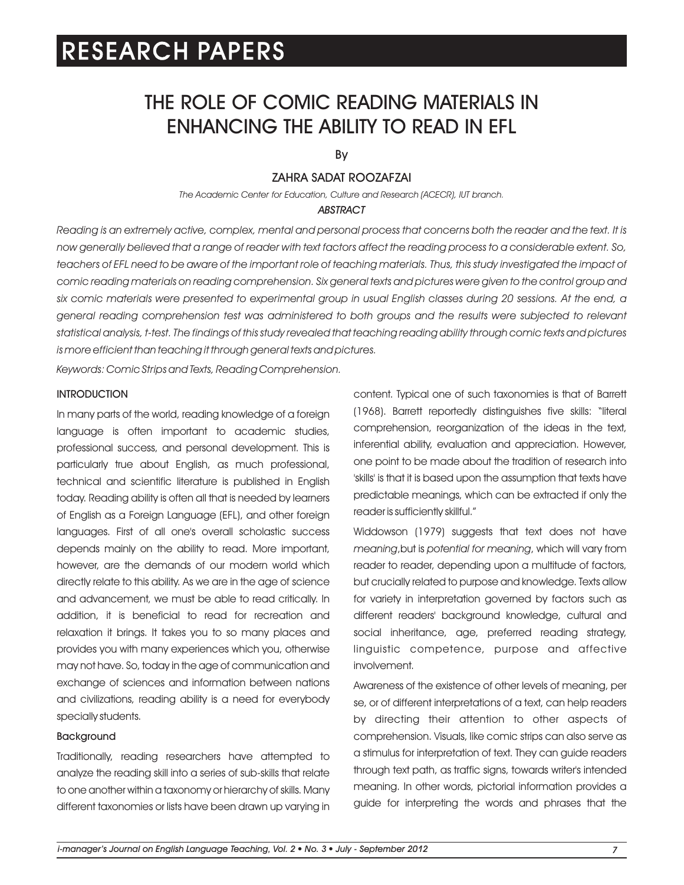# THE ROLE OF COMIC READING MATERIALS IN ENHANCING THE ABILITY TO READ IN EFL

By

### ZAHRA SADAT ROOZAFZAI

*The Academic Center for Education, Culture and Research (ACECR), IUT branch.*

#### *ABSTRACT*

*Reading is an extremely active, complex, mental and personal process that concerns both the reader and the text. It is now generally believed that a range of reader with text factors affect the reading process to a considerable extent. So,*  teachers of EFL need to be aware of the important role of teaching materials. Thus, this study investigated the impact of comic reading materials on reading comprehension. Six general texts and pictures were given to the control group and *six comic materials were presented to experimental group in usual English classes during 20 sessions. At the end, a general reading comprehension test was administered to both groups and the results were subjected to relevant statistical analysis, t-test. The findings of this study revealed that teaching reading ability through comic texts and pictures is more efficient than teaching it through general texts and pictures.*

*Keywords: Comic Strips and Texts, Reading Comprehension.*

### INTRODUCTION

In many parts of the world, reading knowledge of a foreign language is often important to academic studies, professional success, and personal development. This is particularly true about English, as much professional, technical and scientific literature is published in English today. Reading ability is often all that is needed by learners of English as a Foreign Language (EFL), and other foreign languages. First of all one's overall scholastic success depends mainly on the ability to read. More important, however, are the demands of our modern world which directly relate to this ability. As we are in the age of science and advancement, we must be able to read critically. In addition, it is beneficial to read for recreation and relaxation it brings. It takes you to so many places and provides you with many experiences which you, otherwise may not have. So, today in the age of communication and exchange of sciences and information between nations and civilizations, reading ability is a need for everybody specially students.

### Background

Traditionally, reading researchers have attempted to analyze the reading skill into a series of sub-skills that relate to one another within a taxonomy or hierarchy of skills. Many different taxonomies or lists have been drawn up varying in content. Typical one of such taxonomies is that of Barrett (1968). Barrett reportedly distinguishes five skills: "literal comprehension, reorganization of the ideas in the text, inferential ability, evaluation and appreciation. However, one point to be made about the tradition of research into 'skills' is that it is based upon the assumption that texts have predictable meanings, which can be extracted if only the reader is sufficiently skillful."

Widdowson (1979) suggests that text does not have *meaning*,but is *potential for meaning*, which will vary from reader to reader, depending upon a multitude of factors, but crucially related to purpose and knowledge. Texts allow for variety in interpretation governed by factors such as different readers' background knowledge, cultural and social inheritance, age, preferred reading strategy, linguistic competence, purpose and affective involvement.

Awareness of the existence of other levels of meaning, per se, or of different interpretations of a text, can help readers by directing their attention to other aspects of comprehension. Visuals, like comic strips can also serve as a stimulus for interpretation of text. They can guide readers through text path, as traffic signs, towards writer's intended meaning. In other words, pictorial information provides a guide for interpreting the words and phrases that the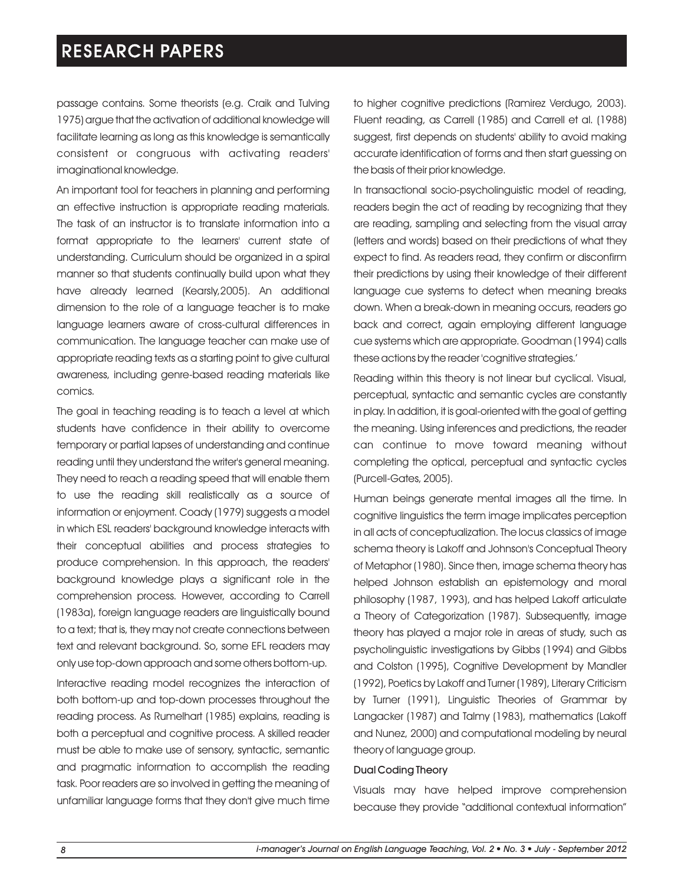passage contains. Some theorists (e.g. Craik and Tulving 1975) argue that the activation of additional knowledge will facilitate learning as long as this knowledge is semantically consistent or congruous with activating readers' imaginational knowledge.

An important tool for teachers in planning and performing an effective instruction is appropriate reading materials. The task of an instructor is to translate information into a format appropriate to the learners' current state of understanding. Curriculum should be organized in a spiral manner so that students continually build upon what they have already learned (Kearsly,2005). An additional dimension to the role of a language teacher is to make language learners aware of cross-cultural differences in communication. The language teacher can make use of appropriate reading texts as a starting point to give cultural awareness, including genre-based reading materials like comics.

The goal in teaching reading is to teach a level at which students have confidence in their ability to overcome temporary or partial lapses of understanding and continue reading until they understand the writer's general meaning. They need to reach a reading speed that will enable them to use the reading skill realistically as a source of information or enjoyment. Coady (1979) suggests a model in which ESL readers' background knowledge interacts with their conceptual abilities and process strategies to produce comprehension. In this approach, the readers' background knowledge plays a significant role in the comprehension process. However, according to Carrell (1983a), foreign language readers are linguistically bound to a text; that is, they may not create connections between text and relevant background. So, some EFL readers may only use top-down approach and some others bottom-up.

Interactive reading model recognizes the interaction of both bottom-up and top-down processes throughout the reading process. As Rumelhart (1985) explains, reading is both a perceptual and cognitive process. A skilled reader must be able to make use of sensory, syntactic, semantic and pragmatic information to accomplish the reading task. Poor readers are so involved in getting the meaning of unfamiliar language forms that they don't give much time

to higher cognitive predictions (Ramirez Verdugo, 2003). Fluent reading, as Carrell (1985) and Carrell et al. (1988) suggest, first depends on students' ability to avoid making accurate identification of forms and then start guessing on the basis of their prior knowledge.

In transactional socio-psycholinguistic model of reading, readers begin the act of reading by recognizing that they are reading, sampling and selecting from the visual array (letters and words) based on their predictions of what they expect to find. As readers read, they confirm or disconfirm their predictions by using their knowledge of their different language cue systems to detect when meaning breaks down. When a break-down in meaning occurs, readers go back and correct, again employing different language cue systems which are appropriate. Goodman (1994) calls these actions by the reader 'cognitive strategies.'

Reading within this theory is not linear but cyclical. Visual, perceptual, syntactic and semantic cycles are constantly in play. In addition, it is goal-oriented with the goal of getting the meaning. Using inferences and predictions, the reader can continue to move toward meaning without completing the optical, perceptual and syntactic cycles (Purcell-Gates, 2005).

Human beings generate mental images all the time. In cognitive linguistics the term image implicates perception in all acts of conceptualization. The locus classics of image schema theory is Lakoff and Johnson's Conceptual Theory of Metaphor (1980). Since then, image schema theory has helped Johnson establish an epistemology and moral philosophy (1987, 1993), and has helped Lakoff articulate a Theory of Categorization (1987). Subsequently, image theory has played a major role in areas of study, such as psycholinguistic investigations by Gibbs (1994) and Gibbs and Colston (1995), Cognitive Development by Mandler (1992), Poetics by Lakoff and Turner (1989), Literary Criticism by Turner (1991), Linguistic Theories of Grammar by Langacker (1987) and Talmy (1983), mathematics (Lakoff and Nunez, 2000) and computational modeling by neural theory of language group.

#### Dual Coding Theory

Visuals may have helped improve comprehension because they provide "additional contextual information"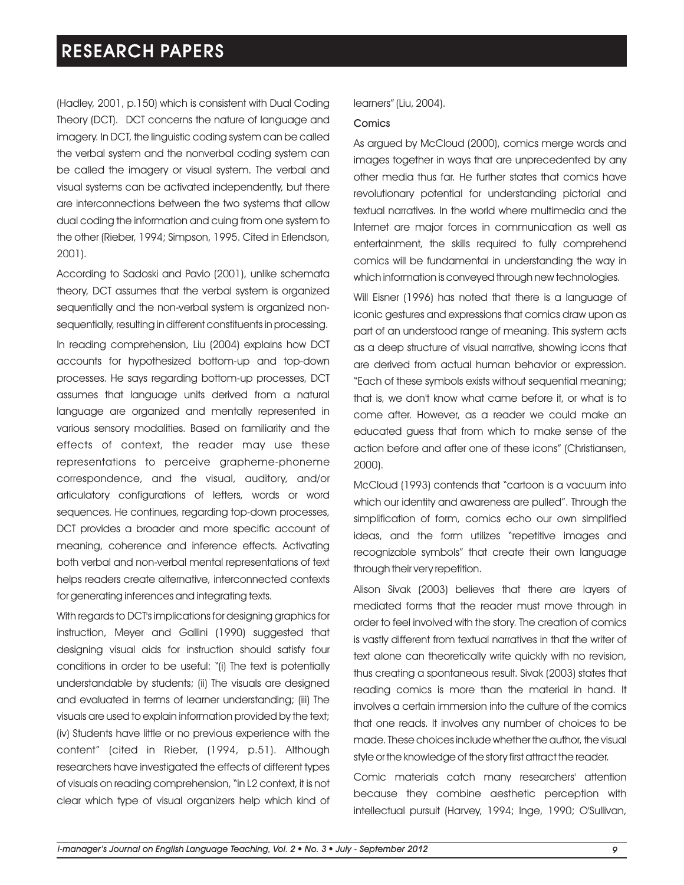(Hadley, 2001, p.150) which is consistent with Dual Coding Theory (DCT). DCT concerns the nature of language and imagery. In DCT, the linguistic coding system can be called the verbal system and the nonverbal coding system can be called the imagery or visual system. The verbal and visual systems can be activated independently, but there are interconnections between the two systems that allow dual coding the information and cuing from one system to the other (Rieber, 1994; Simpson, 1995. Cited in Erlendson, 2001).

According to Sadoski and Pavio (2001), unlike schemata theory, DCT assumes that the verbal system is organized sequentially and the non-verbal system is organized nonsequentially, resulting in different constituents in processing. In reading comprehension, Liu (2004) explains how DCT accounts for hypothesized bottom-up and top-down processes. He says regarding bottom-up processes, DCT assumes that language units derived from a natural language are organized and mentally represented in various sensory modalities. Based on familiarity and the effects of context, the reader may use these representations to perceive grapheme-phoneme correspondence, and the visual, auditory, and/or articulatory configurations of letters, words or word sequences. He continues, regarding top-down processes, DCT provides a broader and more specific account of meaning, coherence and inference effects. Activating both verbal and non-verbal mental representations of text helps readers create alternative, interconnected contexts for generating inferences and integrating texts.

With regards to DCT's implications for designing graphics for instruction, Meyer and Gallini (1990) suggested that designing visual aids for instruction should satisfy four conditions in order to be useful: "(i) The text is potentially understandable by students; (ii) The visuals are designed and evaluated in terms of learner understanding; (iii) The visuals are used to explain information provided by the text; (iv) Students have little or no previous experience with the content" (cited in Rieber, (1994, p.51). Although researchers have investigated the effects of different types of visuals on reading comprehension, "in L2 context, it is not clear which type of visual organizers help which kind of

#### learners" (Liu, 2004).

#### Comics

As argued by McCloud (2000), comics merge words and images together in ways that are unprecedented by any other media thus far. He further states that comics have revolutionary potential for understanding pictorial and textual narratives. In the world where multimedia and the Internet are major forces in communication as well as entertainment, the skills required to fully comprehend comics will be fundamental in understanding the way in which information is conveyed through new technologies.

Will Eisner (1996) has noted that there is a language of iconic gestures and expressions that comics draw upon as part of an understood range of meaning. This system acts as a deep structure of visual narrative, showing icons that are derived from actual human behavior or expression. "Each of these symbols exists without sequential meaning; that is, we don't know what came before it, or what is to come after. However, as a reader we could make an educated guess that from which to make sense of the action before and after one of these icons" (Christiansen, 2000).

McCloud (1993) contends that "cartoon is a vacuum into which our identity and awareness are pulled". Through the simplification of form, comics echo our own simplified ideas, and the form utilizes "repetitive images and recognizable symbols" that create their own language through their very repetition.

Alison Sivak (2003) believes that there are layers of mediated forms that the reader must move through in order to feel involved with the story. The creation of comics is vastly different from textual narratives in that the writer of text alone can theoretically write quickly with no revision, thus creating a spontaneous result. Sivak (2003) states that reading comics is more than the material in hand. It involves a certain immersion into the culture of the comics that one reads. It involves any number of choices to be made. These choices include whether the author, the visual style or the knowledge of the story first attract the reader.

Comic materials catch many researchers' attention because they combine aesthetic perception with intellectual pursuit (Harvey, 1994; Inge, 1990; O'Sullivan,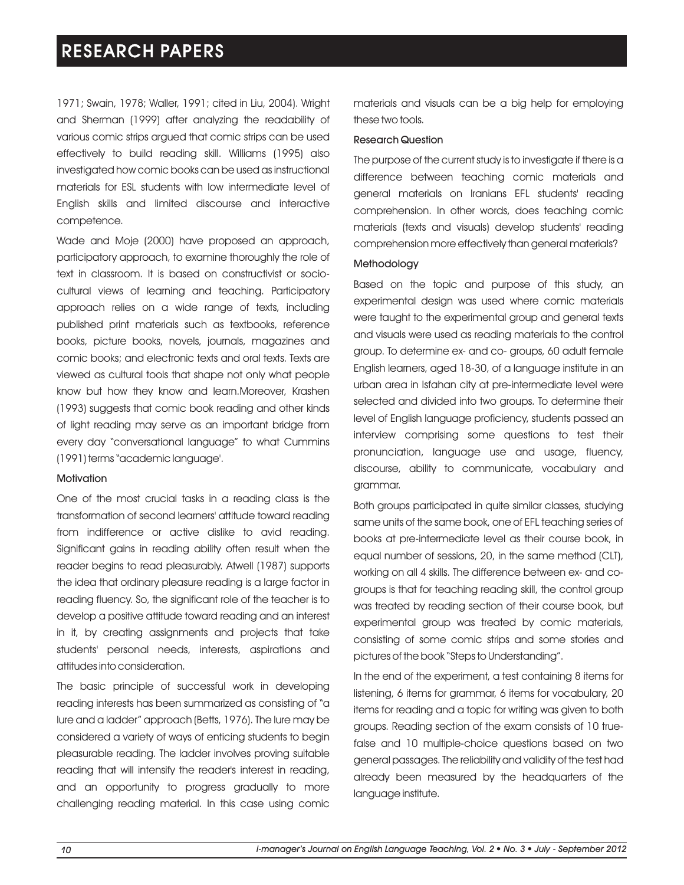1971; Swain, 1978; Waller, 1991; cited in Liu, 2004). Wright and Sherman (1999) after analyzing the readability of various comic strips argued that comic strips can be used effectively to build reading skill. Williams (1995) also investigated how comic books can be used as instructional materials for ESL students with low intermediate level of English skills and limited discourse and interactive competence.

Wade and Moje (2000) have proposed an approach, participatory approach, to examine thoroughly the role of text in classroom. It is based on constructivist or sociocultural views of learning and teaching. Participatory approach relies on a wide range of texts, including published print materials such as textbooks, reference books, picture books, novels, journals, magazines and comic books; and electronic texts and oral texts. Texts are viewed as cultural tools that shape not only what people know but how they know and learn.Moreover, Krashen (1993) suggests that comic book reading and other kinds of light reading may serve as an important bridge from every day "conversational language" to what Cummins (1991) terms "academic language'.

### **Motivation**

One of the most crucial tasks in a reading class is the transformation of second learners' attitude toward reading from indifference or active dislike to avid reading. Significant gains in reading ability often result when the reader begins to read pleasurably. Atwell (1987) supports the idea that ordinary pleasure reading is a large factor in reading fluency. So, the significant role of the teacher is to develop a positive attitude toward reading and an interest in it, by creating assignments and projects that take students' personal needs, interests, aspirations and attitudes into consideration.

The basic principle of successful work in developing reading interests has been summarized as consisting of "a lure and a ladder" approach (Betts, 1976). The lure may be considered a variety of ways of enticing students to begin pleasurable reading. The ladder involves proving suitable reading that will intensify the reader's interest in reading, and an opportunity to progress gradually to more challenging reading material. In this case using comic

materials and visuals can be a big help for employing these two tools.

### Research Question

The purpose of the current study is to investigate if there is a difference between teaching comic materials and general materials on Iranians EFL students' reading comprehension. In other words, does teaching comic materials (texts and visuals) develop students' reading comprehension more effectively than general materials?

#### Methodology

Based on the topic and purpose of this study, an experimental design was used where comic materials were taught to the experimental group and general texts and visuals were used as reading materials to the control group. To determine ex- and co- groups, 60 adult female English learners, aged 18-30, of a language institute in an urban area in Isfahan city at pre-intermediate level were selected and divided into two groups. To determine their level of English language proficiency, students passed an interview comprising some questions to test their pronunciation, language use and usage, fluency, discourse, ability to communicate, vocabulary and grammar.

Both groups participated in quite similar classes, studying same units of the same book, one of EFL teaching series of books at pre-intermediate level as their course book, in equal number of sessions, 20, in the same method (CLT), working on all 4 skills. The difference between ex- and cogroups is that for teaching reading skill, the control group was treated by reading section of their course book, but experimental group was treated by comic materials, consisting of some comic strips and some stories and pictures of the book "Steps to Understanding".

In the end of the experiment, a test containing 8 items for listening, 6 items for grammar, 6 items for vocabulary, 20 items for reading and a topic for writing was given to both groups. Reading section of the exam consists of 10 truefalse and 10 multiple-choice questions based on two general passages. The reliability and validity of the test had already been measured by the headquarters of the language institute.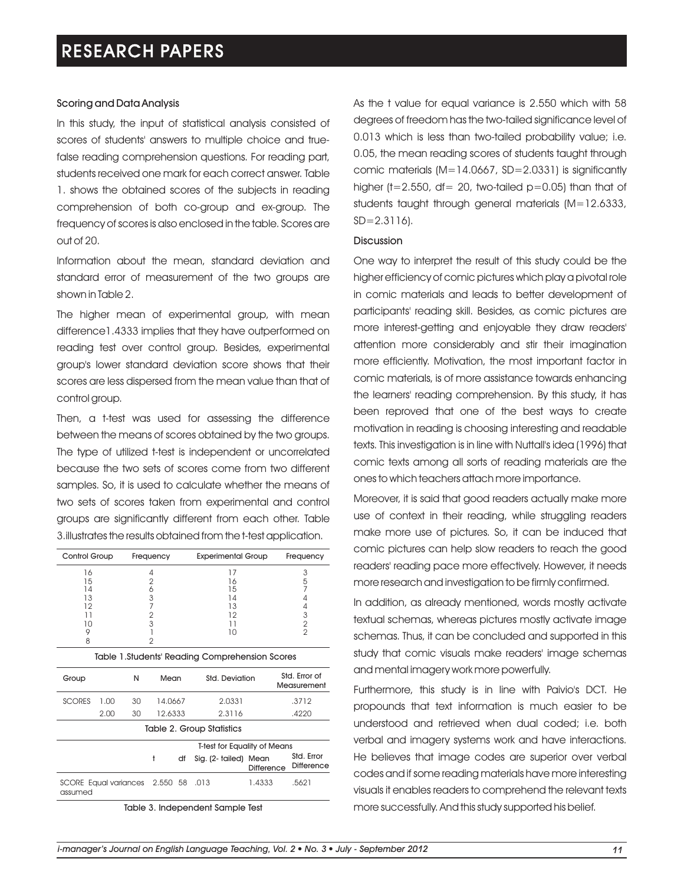### Scoring and Data Analysis

In this study, the input of statistical analysis consisted of scores of students' answers to multiple choice and truefalse reading comprehension questions. For reading part, students received one mark for each correct answer. Table 1. shows the obtained scores of the subjects in reading comprehension of both co-group and ex-group. The frequency of scores is also enclosed in the table. Scores are out of 20.

Information about the mean, standard deviation and standard error of measurement of the two groups are shown in Table 2.

The higher mean of experimental group, with mean difference1.4333 implies that they have outperformed on reading test over control group. Besides, experimental group's lower standard deviation score shows that their scores are less dispersed from the mean value than that of control group.

Then, a t-test was used for assessing the difference between the means of scores obtained by the two groups. The type of utilized t-test is independent or uncorrelated because the two sets of scores come from two different samples. So, it is used to calculate whether the means of two sets of scores taken from experimental and control groups are significantly different from each other. Table 3.illustrates the results obtained from the t-test application.

| Control Group | Frequency | <b>Experimental Group</b> | Frequency |
|---------------|-----------|---------------------------|-----------|
| 16            |           |                           |           |
| 15            |           |                           |           |
| l 4           |           | h                         |           |
| 13            |           |                           |           |
| 12            |           | 3,                        |           |
|               |           | n                         |           |
| 10            |           |                           |           |
|               |           |                           |           |
|               |           |                           |           |

| Table 1.Students' Reading Comprehension Scores |      |      |         |                |                                     |                              |                                 |  |  |  |
|------------------------------------------------|------|------|---------|----------------|-------------------------------------|------------------------------|---------------------------------|--|--|--|
| N<br>Group                                     |      | Mean |         | Std. Deviation |                                     | Std. Frror of<br>Measurement |                                 |  |  |  |
| <b>SCORES</b>                                  | 1.00 | 30   | 14.0667 |                | 2.0331                              |                              | .3712                           |  |  |  |
|                                                | 2.00 | 30   | 12.6333 |                | 2.3116                              |                              | .4220                           |  |  |  |
| Table 2. Group Statistics                      |      |      |         |                |                                     |                              |                                 |  |  |  |
|                                                |      |      |         |                | <b>T-test for Equality of Means</b> |                              |                                 |  |  |  |
|                                                |      |      | t       | df             | Sig. (2- tailed)                    | Mean<br><b>Difference</b>    | Std. Error<br><b>Difference</b> |  |  |  |
| SCORE Equal variances 2.550 58<br>assumed      |      |      |         | .013           | 1.4333                              | .5621                        |                                 |  |  |  |

Table 3. Independent Sample Test

As the t value for equal variance is 2.550 which with 58 degrees of freedom has the two-tailed significance level of 0.013 which is less than two-tailed probability value; i.e. 0.05, the mean reading scores of students taught through comic materials  $(M=14.0667, SD=2.0331)$  is significantly higher (t=2.550, df= 20, two-tailed  $p=0.05$ ) than that of students taught through general materials (M=12.6333,  $SD = 2.3116$ .

#### Discussion

One way to interpret the result of this study could be the higher efficiency of comic pictures which play a pivotal role in comic materials and leads to better development of participants' reading skill. Besides, as comic pictures are more interest-getting and enjoyable they draw readers' attention more considerably and stir their imagination more efficiently. Motivation, the most important factor in comic materials, is of more assistance towards enhancing the learners' reading comprehension. By this study, it has been reproved that one of the best ways to create motivation in reading is choosing interesting and readable texts. This investigation is in line with Nuttall's idea (1996) that comic texts among all sorts of reading materials are the ones to which teachers attach more importance.

Moreover, it is said that good readers actually make more use of context in their reading, while struggling readers make more use of pictures. So, it can be induced that comic pictures can help slow readers to reach the good readers' reading pace more effectively. However, it needs more research and investigation to be firmly confirmed.

In addition, as already mentioned, words mostly activate textual schemas, whereas pictures mostly activate image schemas. Thus, it can be concluded and supported in this study that comic visuals make readers' image schemas and mental imagery work more powerfully.

Furthermore, this study is in line with Paivio's DCT. He propounds that text information is much easier to be understood and retrieved when dual coded; i.e. both verbal and imagery systems work and have interactions. He believes that image codes are superior over verbal codes and if some reading materials have more interesting visuals it enables readers to comprehend the relevant texts more successfully. And this study supported his belief.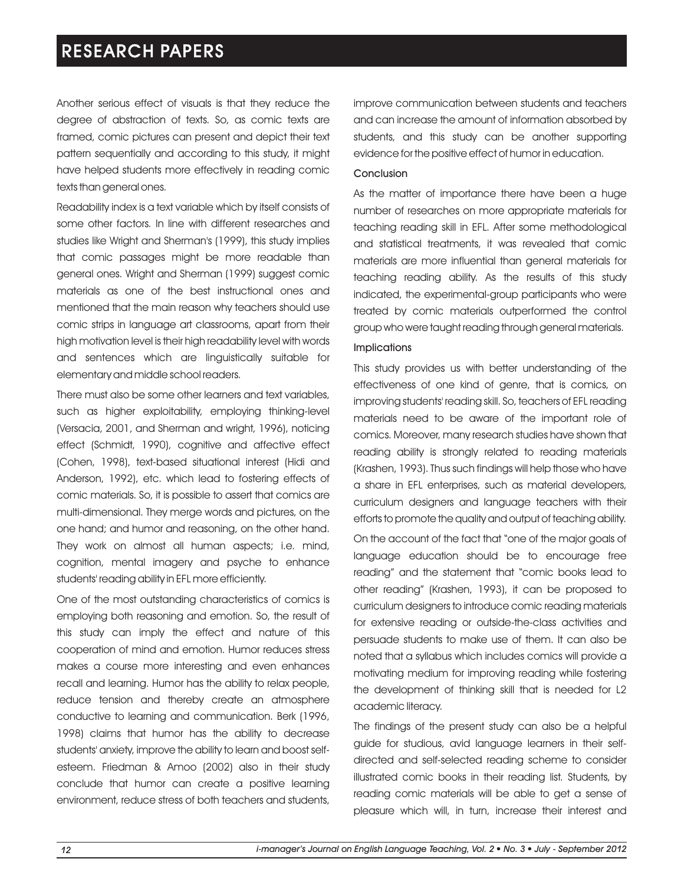Another serious effect of visuals is that they reduce the degree of abstraction of texts. So, as comic texts are framed, comic pictures can present and depict their text pattern sequentially and according to this study, it might have helped students more effectively in reading comic texts than general ones.

Readability index is a text variable which by itself consists of some other factors. In line with different researches and studies like Wright and Sherman's (1999), this study implies that comic passages might be more readable than general ones. Wright and Sherman (1999) suggest comic materials as one of the best instructional ones and mentioned that the main reason why teachers should use comic strips in language art classrooms, apart from their high motivation level is their high readability level with words and sentences which are linguistically suitable for elementary and middle school readers.

There must also be some other learners and text variables, such as higher exploitability, employing thinking-level (Versacia, 2001, and Sherman and wright, 1996), noticing effect (Schmidt, 1990), cognitive and affective effect (Cohen, 1998), text-based situational interest (Hidi and Anderson, 1992), etc. which lead to fostering effects of comic materials. So, it is possible to assert that comics are multi-dimensional. They merge words and pictures, on the one hand; and humor and reasoning, on the other hand. They work on almost all human aspects; i.e. mind, cognition, mental imagery and psyche to enhance students' reading ability in EFL more efficiently.

One of the most outstanding characteristics of comics is employing both reasoning and emotion. So, the result of this study can imply the effect and nature of this cooperation of mind and emotion. Humor reduces stress makes a course more interesting and even enhances recall and learning. Humor has the ability to relax people, reduce tension and thereby create an atmosphere conductive to learning and communication. Berk (1996, 1998) claims that humor has the ability to decrease students' anxiety, improve the ability to learn and boost selfesteem. Friedman & Amoo (2002) also in their study conclude that humor can create a positive learning environment, reduce stress of both teachers and students,

improve communication between students and teachers and can increase the amount of information absorbed by students, and this study can be another supporting evidence for the positive effect of humor in education.

#### **Conclusion**

As the matter of importance there have been a huge number of researches on more appropriate materials for teaching reading skill in EFL. After some methodological and statistical treatments, it was revealed that comic materials are more influential than general materials for teaching reading ability. As the results of this study indicated, the experimental-group participants who were treated by comic materials outperformed the control group who were taught reading through general materials.

### **Implications**

This study provides us with better understanding of the effectiveness of one kind of genre, that is comics, on improving students' reading skill. So, teachers of EFL reading materials need to be aware of the important role of comics. Moreover, many research studies have shown that reading ability is strongly related to reading materials (Krashen, 1993). Thus such findings will help those who have a share in EFL enterprises, such as material developers, curriculum designers and language teachers with their efforts to promote the quality and output of teaching ability. On the account of the fact that "one of the major goals of language education should be to encourage free reading" and the statement that "comic books lead to other reading" (Krashen, 1993), it can be proposed to curriculum designers to introduce comic reading materials for extensive reading or outside-the-class activities and persuade students to make use of them. It can also be noted that a syllabus which includes comics will provide a motivating medium for improving reading while fostering the development of thinking skill that is needed for L2 academic literacy.

The findings of the present study can also be a helpful guide for studious, avid language learners in their selfdirected and self-selected reading scheme to consider illustrated comic books in their reading list. Students, by reading comic materials will be able to get a sense of pleasure which will, in turn, increase their interest and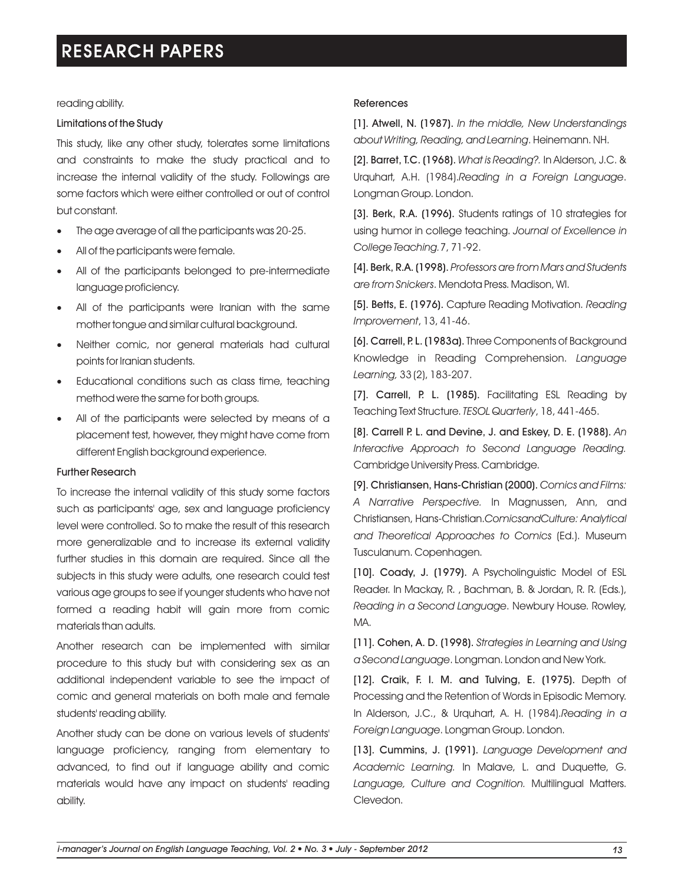### reading ability.

### Limitations of the Study

This study, like any other study, tolerates some limitations and constraints to make the study practical and to increase the internal validity of the study. Followings are some factors which were either controlled or out of control but constant.

- ·The age average of all the participants was 20-25.
- All of the participants were female.
- ·All of the participants belonged to pre-intermediate language proficiency.
- ·All of the participants were Iranian with the same mother tongue and similar cultural background.
- Neither comic, nor general materials had cultural points for Iranian students.
- ·Educational conditions such as class time, teaching method were the same for both groups.
- ·All of the participants were selected by means of a placement test, however, they might have come from different English background experience.

### Further Research

To increase the internal validity of this study some factors such as participants' age, sex and language proficiency level were controlled. So to make the result of this research more generalizable and to increase its external validity further studies in this domain are required. Since all the subjects in this study were adults, one research could test various age groups to see if younger students who have not formed a reading habit will gain more from comic materials than adults.

Another research can be implemented with similar procedure to this study but with considering sex as an additional independent variable to see the impact of comic and general materials on both male and female students' reading ability.

Another study can be done on various levels of students' language proficiency, ranging from elementary to advanced, to find out if language ability and comic materials would have any impact on students' reading ability.

#### **References**

[1]. Atwell, N. (1987). *In the middle, New Understandings about Writing, Reading, and Learning*. Heinemann. NH.

[2]. Barret, T.C. (1968). *What is Reading?.* In Alderson, J.C. & Urquhart, A.H. (1984).*Reading in a Foreign Language*. Longman Group. London.

[3]. Berk, R.A. (1996). Students ratings of 10 strategies for using humor in college teaching. *Journal of Excellence in College Teaching.*7, 71-92.

[4]. Berk, R.A. (1998). *Professors are from Mars and Students are from Snickers*. Mendota Press. Madison, WI.

[5]. Betts, E. (1976). Capture Reading Motivation. *Reading Improvement*, 13, 41-46.

[6]. Carrell, P. L. (1983a). Three Components of Background Knowledge in Reading Comprehension. *Language Learning,* 33 (2), 183-207.

[7]. Carrell, P. L. (1985). Facilitating ESL Reading by Teaching Text Structure. *TESOL Quarterly*, 18, 441-465.

[8]. Carrell P. L. and Devine, J. and Eskey, D. E. (1988). *An Interactive Approach to Second Language Reading.*  Cambridge University Press. Cambridge.

[9]. Christiansen, Hans-Christian (2000). *Comics and Films: A Narrative Perspective.* In Magnussen, Ann, and Christiansen, Hans-Christian.*ComicsandCulture: Analytical and Theoretical Approaches to Comics* (Ed.). Museum Tusculanum. Copenhagen.

[10]. Coady, J. (1979). A Psycholinguistic Model of ESL Reader. In Mackay, R. , Bachman, B. & Jordan, R. R. (Eds.), *Reading in a Second Language*. Newbury House. Rowley, MA.

[11]. Cohen, A. D. (1998). *Strategies in Learning and Using a Second Language*. Longman. London and New York.

[12]. Craik, F. I. M. and Tulving, E. (1975). Depth of Processing and the Retention of Words in Episodic Memory. In Alderson, J.C., & Urquhart, A. H. (1984).*Reading in a Foreign Language*. Longman Group. London.

[13]. Cummins, J. (1991). *Language Development and Academic Learning.* In Malave, L. and Duquette, G. *Language, Culture and Cognition.* Multilingual Matters. Clevedon.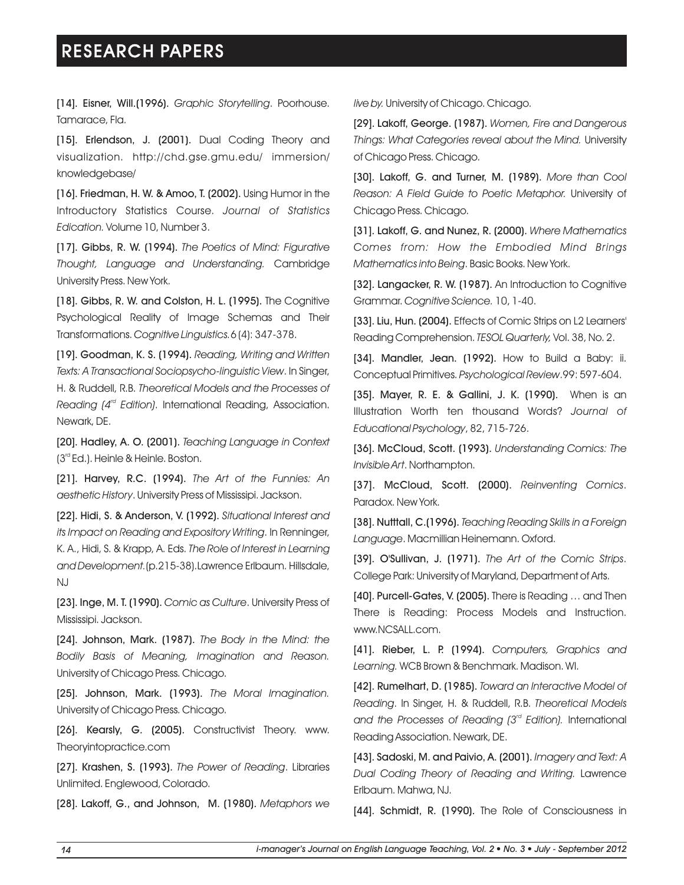[14]. Eisner, Will.(1996). *Graphic Storytelling*. Poorhouse. *live by.* University of Chicago. Chicago. Tamarace, Fla.

[15]. Erlendson, J. (2001). Dual Coding Theory and visualization. http://chd.gse.gmu.edu/ immersion/ knowledgebase/

[16]. Friedman, H. W. & Amoo, T. (2002). Using Humor in the Introductory Statistics Course. *Journal of Statistics Edication.* Volume 10, Number 3.

[17]. Gibbs, R. W. (1994). *The Poetics of Mind: Figurative Thought, Language and Understanding.* Cambridge University Press. New York.

[18]. Gibbs, R. W. and Colston, H. L. (1995). The Cognitive Psychological Reality of Image Schemas and Their Transformations. *Cognitive Linguistics.*6 (4): 347-378.

[19]. Goodman, K. S. (1994). *Reading, Writing and Written Texts: A Transactional Sociopsycho-linguistic View*. In Singer, H. & Ruddell, R.B. *Theoretical Models and the Processes of rd Reading (4 Edition)*. International Reading, Association. Newark, DE.

[20]. Hadley, A. O. (2001). *Teaching Language in Context*   $3<sup>rd</sup>$  Ed.). Heinle & Heinle. Boston.

[21]. Harvey, R.C. (1994). *The Art of the Funnies: An aesthetic History*. University Press of Mississipi. Jackson.

[22]. Hidi, S. & Anderson, V. (1992). *Situational Interest and its Impact on Reading and Expository Writing*. In Renninger, K. A., Hidi, S. & Krapp, A. Eds. *The Role of Interest in Learning and Development.*(p.215-38).Lawrence Erlbaum. Hillsdale, NJ

[23]. Inge, M. T. (1990). *Comic as Culture*. University Press of Mississipi. Jackson.

[24]. Johnson, Mark. (1987). *The Body in the Mind: the Bodily Basis of Meaning, Imagination and Reason.*  University of Chicago Press. Chicago.

[25]. Johnson, Mark. (1993). *The Moral Imagination.*  University of Chicago Press. Chicago.

[26]. Kearsly, G. (2005). Constructivist Theory. www. Theoryintopractice.com

[27]. Krashen, S. (1993). *The Power of Reading*. Libraries Unlimited. Englewood, Colorado.

[28]. Lakoff, G., and Johnson, M. (1980). *Metaphors we* 

[29]. *Women, Fire and Dangerous*  Lakoff, George. (1987). *Things: What Categories reveal about the Mind.* University of Chicago Press. Chicago.

[30]. Lakoff, G. and Turner, M. (1989). *More than Cool Reason: A Field Guide to Poetic Metaphor.* University of Chicago Press. Chicago.

[31]. Lakoff, G. and Nunez, R. (2000). *Where Mathematics Comes from: How the Embodied Mind Brings Mathematics into Being*. Basic Books. New York.

[32]. Langacker, R. W. (1987). An Introduction to Cognitive Grammar. *Cognitive Science.* 10, 1-40.

[33]. Liu, Hun. (2004). Effects of Comic Strips on L2 Learners' Reading Comprehension. *TESOL Quarterly,* Vol. 38, No. 2.

[34]. Mandler, Jean. (1992). How to Build a Baby: ii. Conceptual Primitives. *Psychological Review*.99: 597-604.

[35]. Mayer, R. E. & Gallini, J. K. (1990). When is an Illustration Worth ten thousand Words? *Journal of Educational Psychology*, 82, 715-726.

[36]. McCloud, Scott. (1993). *Understanding Comics: The Invisible Art*. Northampton.

[37]. McCloud, Scott. (2000). *Reinventing Comics*. Paradox. New York.

[38]. Nutttall, C.(1996). *Teaching Reading Skills in a Foreign Language*. Macmillian Heinemann. Oxford.

[39]. O'Sullivan, J. (1971). *The Art of the Comic Strips*. College Park: University of Maryland, Department of Arts.

[40]. Purcell-Gates, V. (2005). There is Reading … and Then There is Reading: Process Models and Instruction. www.NCSALL.com.

[41]. Rieber, L. P. (1994). *Computers, Graphics and Learning.* WCB Brown & Benchmark. Madison. WI.

[42]. Rumelhart, D. (1985). *Toward an Interactive Model of Reading*. In Singer, H. & Ruddell, R.B. *Theoretical Models rd and the Processes of Reading (3 Edition).* International Reading Association. Newark, DE.

[43]. Sadoski, M. and Paivio, A. (2001). *Imagery and Text: A Dual Coding Theory of Reading and Writing.* Lawrence Erlbaum. Mahwa, NJ.

[44]. Schmidt, R. (1990). The Role of Consciousness in